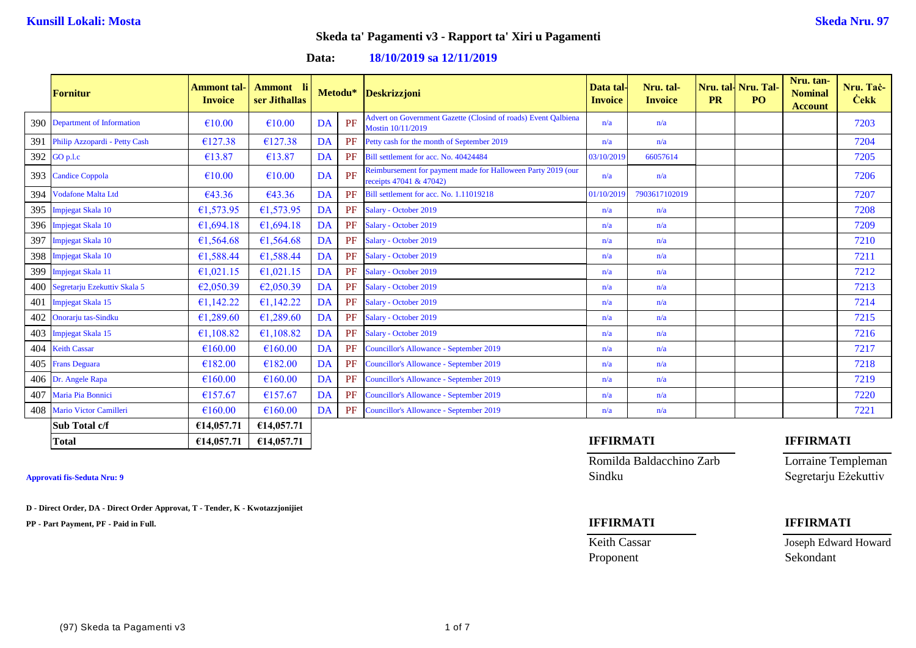**Data: 18/10/2019 sa 12/11/2019**

|     | <b>Fornitur</b>                  | <b>Ammont</b> tal-<br><b>Invoice</b> | <b>Ammont</b><br>ser Jithallas |           | Metodu* | <b>Deskrizzjoni</b>                                                                     | Data tal<br><b>Invoice</b> | Nru. tal-<br><b>Invoice</b> | <b>PR</b> | Nru. tal-Nru. Tal-<br>PO <sub>1</sub> | Nru. tan-<br><b>Nominal</b><br><b>Account</b> | Nru. Tač-<br><b>Cekk</b> |
|-----|----------------------------------|--------------------------------------|--------------------------------|-----------|---------|-----------------------------------------------------------------------------------------|----------------------------|-----------------------------|-----------|---------------------------------------|-----------------------------------------------|--------------------------|
|     | 390 Department of Information    | €10.00                               | €10.00                         | <b>DA</b> | PF      | Advert on Government Gazette (Closind of roads) Event Oalbiena<br>Mostin 10/11/2019     | n/a                        | n/a                         |           |                                       |                                               | 7203                     |
| 391 | Philip Azzopardi - Petty Cash    | €127.38                              | €127.38                        | DA        | PF      | Petty cash for the month of September 2019                                              | n/a                        | n/a                         |           |                                       |                                               | 7204                     |
|     | 392 GO p.l.c                     | €13.87                               | €13.87                         | DA        | PF      | Bill settlement for acc. No. 40424484                                                   | 03/10/2019                 | 66057614                    |           |                                       |                                               | 7205                     |
|     | 393 Candice Coppola              | €10.00                               | €10.00                         | DA        | PF      | Reimbursement for payment made for Halloween Party 2019 (our<br>receipts 47041 & 47042) | n/a                        | n/a                         |           |                                       |                                               | 7206                     |
| 394 | <b>Vodafone Malta Ltd</b>        | €43.36                               | €43.36                         | <b>DA</b> | PF      | Bill settlement for acc. No. 1.11019218                                                 | 01/10/2019                 | 7903617102019               |           |                                       |                                               | 7207                     |
|     | 395 Impjegat Skala 10            | €1,573.95                            | €1,573.95                      | DA        | PF      | Salary - October 2019                                                                   | n/a                        | n/a                         |           |                                       |                                               | 7208                     |
|     | 396 Impjegat Skala 10            | €1,694.18                            | €1,694.18                      | DA        | PF      | Salary - October 2019                                                                   | n/a                        | n/a                         |           |                                       |                                               | 7209                     |
| 397 | Impjegat Skala 10                | €1,564.68                            | €1,564.68                      | DA        | PF      | Salary - October 2019                                                                   | n/a                        | n/a                         |           |                                       |                                               | 7210                     |
|     | 398 Impjegat Skala 10            | €1,588.44                            | €1,588.44                      | DA        | PF      | Salary - October 2019                                                                   | n/a                        | n/a                         |           |                                       |                                               | 7211                     |
|     | 399 Impjegat Skala 11            | €1,021.15                            | €1,021.15                      | DA        | PF      | Salary - October 2019                                                                   | n/a                        | n/a                         |           |                                       |                                               | 7212                     |
|     | 400 Segretarju Ezekuttiv Skala 5 | €2,050.39                            | €2,050.39                      | <b>DA</b> | PF      | Salary - October 2019                                                                   | n/a                        | n/a                         |           |                                       |                                               | 7213                     |
| 401 | <b>Impjegat Skala 15</b>         | €1,142.22                            | €1,142.22                      | DA        | PF      | Salary - October 2019                                                                   | n/a                        | n/a                         |           |                                       |                                               | 7214                     |
| 402 | Onorarju tas-Sindku              | €1,289.60                            | €1,289.60                      | DA        | PF      | Salary - October 2019                                                                   | n/a                        | n/a                         |           |                                       |                                               | 7215                     |
|     | 403 Impjegat Skala 15            | €1,108.82                            | €1,108.82                      | DA        | PF      | Salary - October 2019                                                                   | n/a                        | n/a                         |           |                                       |                                               | 7216                     |
|     | 404 Keith Cassar                 | €160.00                              | €160.00                        | DA        | PF      | Councillor's Allowance - September 2019                                                 | n/a                        | n/a                         |           |                                       |                                               | 7217                     |
|     | 405 Frans Deguara                | €182.00                              | €182.00                        | DA        | PF      | <b>Councillor's Allowance - September 2019</b>                                          | n/a                        | n/a                         |           |                                       |                                               | 7218                     |
|     | 406 Dr. Angele Rapa              | €160.00                              | €160.00                        | DA        | PF      | Councillor's Allowance - September 2019                                                 | n/a                        | n/a                         |           |                                       |                                               | 7219                     |
| 407 | Maria Pia Bonnici                | €157.67                              | €157.67                        | DA        | PF      | Councillor's Allowance - September 2019                                                 | n/a                        | n/a                         |           |                                       |                                               | 7220                     |
|     | 408 Mario Victor Camilleri       | €160.00                              | €160.00                        | DA        | PF      | Councillor's Allowance - September 2019                                                 | n/a                        | n/a                         |           |                                       |                                               | 7221                     |
|     | Sub Total c/f                    | €14,057.71                           | €14,057.71                     |           |         |                                                                                         |                            |                             |           |                                       |                                               |                          |
|     | <b>Total</b>                     | €14,057.71                           | €14,057.71                     |           |         |                                                                                         | <b>IFFIRMATI</b>           |                             |           |                                       | <b>IFFIRMATI</b>                              |                          |

**D - Direct Order, DA - Direct Order Approvat, T - Tender, K - Kwotazzjonijiet**

**PP - Part Payment, PF - Paid in Full. IFFIRMATI IFFIRMATI**

Romilda Baldacchino Zarb Lorraine Templeman **Approvati fis-Seduta Nru: 9** Sindku Segretarju Eżekuttiv

Proponent Sekondant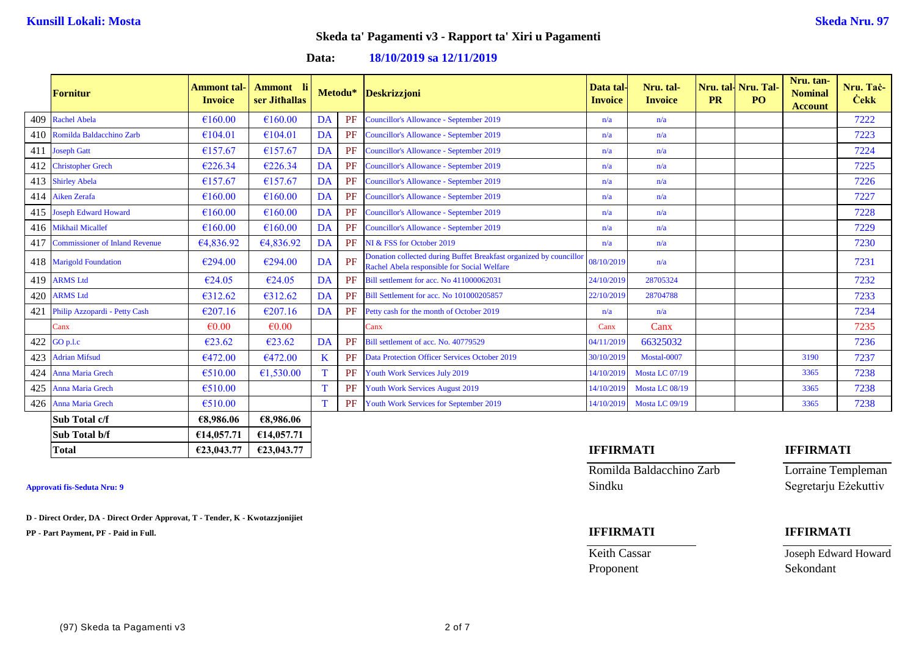## **Data: 18/10/2019 sa 12/11/2019**

|     | <b>Fornitur</b>                       | <b>Ammont</b> tal-<br><b>Invoice</b> | Ammont li<br>ser Jithallas |    | Metodu* | <b>Deskrizzjoni</b>                                                                                               | Data tal-<br><b>Invoice</b> | Nru. tal-<br><b>Invoice</b> | <b>PR</b> | Nru. tal   Nru. Tal<br>PO <sub>1</sub> | Nru. tan-<br><b>Nominal</b><br><b>Account</b> | Nru. Tac-<br><b>Cekk</b> |
|-----|---------------------------------------|--------------------------------------|----------------------------|----|---------|-------------------------------------------------------------------------------------------------------------------|-----------------------------|-----------------------------|-----------|----------------------------------------|-----------------------------------------------|--------------------------|
|     | 409 Rachel Abela                      | €160.00                              | €160.00                    | DA | PF      | Councillor's Allowance - September 2019                                                                           | n/a                         | n/a                         |           |                                        |                                               | 7222                     |
|     | 410 Romilda Baldacchino Zarb          | €104.01                              | €104.01                    | DA | PF      | Councillor's Allowance - September 2019                                                                           | n/a                         | n/a                         |           |                                        |                                               | 7223                     |
|     | 411 Joseph Gatt                       | €157.67                              | €157.67                    | DA | PF      | Councillor's Allowance - September 2019                                                                           | n/a                         | n/a                         |           |                                        |                                               | 7224                     |
| 412 | <b>Christopher Grech</b>              | €226.34                              | €226.34                    | DA | PF      | Councillor's Allowance - September 2019                                                                           | n/a                         | n/a                         |           |                                        |                                               | 7225                     |
|     | 413 Shirley Abela                     | €157.67                              | €157.67                    | DA | PF      | Councillor's Allowance - September 2019                                                                           | n/a                         | n/a                         |           |                                        |                                               | 7226                     |
|     | 414 Aiken Zerafa                      | €160.00                              | €160.00                    | DA | PF      | Councillor's Allowance - September 2019                                                                           | n/a                         | n/a                         |           |                                        |                                               | 7227                     |
|     | 415 Joseph Edward Howard              | €160.00                              | €160.00                    | DA | PF      | Councillor's Allowance - September 2019                                                                           | n/a                         | n/a                         |           |                                        |                                               | 7228                     |
|     | 416 Mikhail Micallef                  | €160.00                              | €160.00                    | DA | PF      | Councillor's Allowance - September 2019                                                                           | n/a                         | n/a                         |           |                                        |                                               | 7229                     |
| 417 | <b>Commissioner of Inland Revenue</b> | €4,836.92                            | €4,836.92                  | DA | PF      | NI & FSS for October 2019                                                                                         | n/a                         | n/a                         |           |                                        |                                               | 7230                     |
|     | 418 Marigold Foundation               | €294.00                              | €294.00                    | DA | PF      | Donation collected during Buffet Breakfast organized by councillor<br>Rachel Abela responsible for Social Welfare | 08/10/2019                  | n/a                         |           |                                        |                                               | 7231                     |
| 419 | <b>ARMS Ltd</b>                       | €24.05                               | €24.05                     | DA | PF      | Bill settlement for acc. No 411000062031                                                                          | 24/10/2019                  | 28705324                    |           |                                        |                                               | 7232                     |
| 420 | <b>ARMS Ltd</b>                       | €312.62                              | €312.62                    | DA | PF      | Bill Settlement for acc. No 101000205857                                                                          | 22/10/2019                  | 28704788                    |           |                                        |                                               | 7233                     |
| 421 | Philip Azzopardi - Petty Cash         | €207.16                              | €207.16                    | DA | PF      | Petty cash for the month of October 2019                                                                          | n/a                         | n/a                         |           |                                        |                                               | 7234                     |
|     | Canx                                  | $\epsilon$ <sub>0.00</sub>           | $\epsilon$ 0.00            |    |         | Canx                                                                                                              | Canx                        | Canx                        |           |                                        |                                               | 7235                     |
| 422 | GO p.l.c                              | €23.62                               | €23.62                     | DA | PF      | Bill settlement of acc. No. 40779529                                                                              | 04/11/2019                  | 66325032                    |           |                                        |                                               | 7236                     |
|     | 423 Adrian Mifsud                     | €472.00                              | €472.00                    | K  | PF      | <b>Data Protection Officer Services October 2019</b>                                                              | 30/10/2019                  | Mostal-0007                 |           |                                        | 3190                                          | 7237                     |
| 424 | Anna Maria Grech                      | €510.00                              | €1,530.00                  |    | PF      | Youth Work Services July 2019                                                                                     | 14/10/2019                  | Mosta LC 07/19              |           |                                        | 3365                                          | 7238                     |
| 425 | Anna Maria Grech                      | €510.00                              |                            |    | PF      | <b>Youth Work Services August 2019</b>                                                                            | 14/10/2019                  | Mosta LC 08/19              |           |                                        | 3365                                          | 7238                     |
|     | 426 Anna Maria Grech                  | €510.00                              |                            |    | PF      | Youth Work Services for September 2019                                                                            | 14/10/2019                  | Mosta LC 09/19              |           |                                        | 3365                                          | 7238                     |
|     | Sub Total c/f                         | €8,986.06                            | €8,986.06                  |    |         |                                                                                                                   |                             |                             |           |                                        |                                               |                          |
|     | Sub Total b/f                         | €14,057.71                           | €14,057.71                 |    |         |                                                                                                                   |                             |                             |           |                                        |                                               |                          |

**D - Direct Order, DA - Direct Order Approvat, T - Tender, K - Kwotazzjonijiet**

**PP - Part Payment, PF - Paid in Full. IFFIRMATI IFFIRMATI**

# **Total €23,043.77 €23,043.77 IFFIRMATI IFFIRMATI**

Romilda Baldacchino Zarb Lorraine Templeman Approvati fis-Seduta Nru: 9 Sindku Segretarju Eżekuttiv

Proponent Sekondant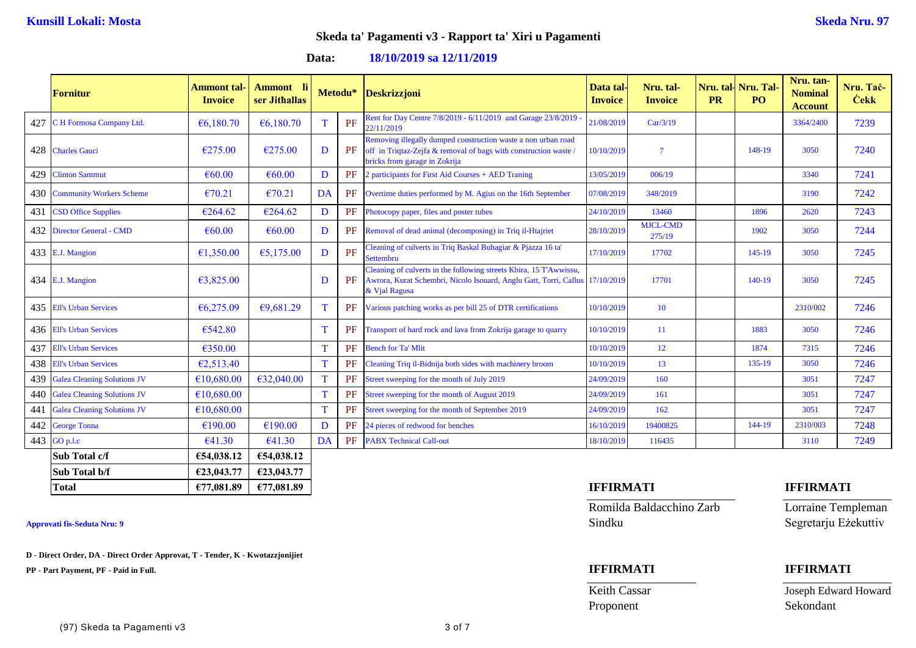**Data: 18/10/2019 sa 12/11/2019**

|     | <b>Fornitur</b>                    | Ammont tal·<br><b>Invoice</b> | <b>Ammont</b> li<br>ser Jithallas |    | Metodu* | <b>Deskrizzjoni</b>                                                                                                                                              | Data tal<br><b>Invoice</b> | Nru. tal-<br><b>Invoice</b> | <b>PR</b> | Nru. tal- Nru. Tal-<br>PO. | Nru. tan-<br><b>Nominal</b><br><b>Account</b> | Nru. Taċ-<br><b>Cekk</b> |
|-----|------------------------------------|-------------------------------|-----------------------------------|----|---------|------------------------------------------------------------------------------------------------------------------------------------------------------------------|----------------------------|-----------------------------|-----------|----------------------------|-----------------------------------------------|--------------------------|
| 427 | C H Formosa Company Ltd.           | €6,180.70                     | €6,180.70                         |    | PF      | Rent for Day Centre 7/8/2019 - 6/11/2019 and Garage 23/8/2019<br>22/11/2019                                                                                      | 21/08/2019                 | Car/3/19                    |           |                            | 3364/2400                                     | 7239                     |
|     | 428 Charles Gauci                  | €275.00                       | €275.00                           | D  | PF      | Removing illegally dumped construction waste a non urban road<br>off in Triqtaz-Zejfa & removal of bags with construction waste<br>bricks from garage in Zokrija | 10/10/2019                 | $\overline{7}$              |           | 148-19                     | 3050                                          | 7240                     |
| 429 | <b>Clinton Sammut</b>              | €60.00                        | €60.00                            | D  | PF      | 2 participants for First Aid Courses + AED Traning                                                                                                               | 13/05/2019                 | 006/19                      |           |                            | 3340                                          | 7241                     |
| 430 | <b>Community Workers Scheme</b>    | €70.21                        | €70.21                            | DA | PF      | Overtime duties performed by M. Agius on the 16th September                                                                                                      | 07/08/2019                 | 348/2019                    |           |                            | 3190                                          | 7242                     |
| 431 | <b>CSD Office Supplies</b>         | €264.62                       | €264.62                           | D  | PF      | Photocopy paper, files and poster tubes                                                                                                                          | 24/10/2019                 | 13460                       |           | 1896                       | 2620                                          | 7243                     |
| 432 | <b>Director General - CMD</b>      | € $60.00$                     | €60.00                            | D  | PF      | Removal of dead animal (decomposing) in Triq il-Htajriet                                                                                                         | 28/10/2019                 | <b>MJCL-CMD</b><br>275/19   |           | 1902                       | 3050                                          | 7244                     |
|     | 433 E.J. Mangion                   | €1,350.00                     | €5,175.00                         | D  | PF      | Cleaning of culverts in Triq Baskal Buhagiar & Pjazza 16 ta'<br>Settembru                                                                                        | 17/10/2019                 | 17702                       |           | $145-19$                   | 3050                                          | 7245                     |
|     | 434 E.J. Mangion                   | €3,825.00                     |                                   | D  | PF      | Cleaning of culverts in the following streets Kbira, 15 T'Awwissu,<br>Awrora, Kurat Schembri, Nicolo Isouard, Anglu Gatt, Torri, Callus<br>& Vjal Ragusa         | 17/10/2019                 | 17701                       |           | 140-19                     | 3050                                          | 7245                     |
| 435 | <b>Ell's Urban Services</b>        | €6,275.09                     | €9,681.29                         |    | PF      | Various patching works as per bill 25 of DTR certifications                                                                                                      | 10/10/2019                 | 10                          |           |                            | 2310/002                                      | 7246                     |
| 436 | <b>Ell's Urban Services</b>        | €542.80                       |                                   |    | PF      | Transport of hard rock and lava from Zokrija garage to quarry                                                                                                    | 10/10/2019                 | 11                          |           | 1883                       | 3050                                          | 7246                     |
| 437 | <b>Ell's Urban Services</b>        | €350.00                       |                                   |    | PF      | <b>Bench for Ta' Mlit</b>                                                                                                                                        | 10/10/2019                 | 12                          |           | 1874                       | 7315                                          | 7246                     |
| 438 | <b>Ell's Urban Services</b>        | €2,513.40                     |                                   | T  | PF      | Cleaning Triq il-Bidnija both sides with machinery broom                                                                                                         | 10/10/2019                 | 13                          |           | 135-19                     | 3050                                          | 7246                     |
| 439 | <b>Galea Cleaning Solutions JV</b> | €10,680.00                    | €32,040.00                        | T  | PF      | Street sweeping for the month of July 2019                                                                                                                       | 24/09/2019                 | 160                         |           |                            | 3051                                          | 7247                     |
|     | 440 Galea Cleaning Solutions JV    | £10,680.00                    |                                   |    | PF      | Street sweeping for the month of August 2019                                                                                                                     | 24/09/2019                 | 161                         |           |                            | 3051                                          | 7247                     |
| 441 | <b>Galea Cleaning Solutions JV</b> | €10,680.00                    |                                   |    | PF      | Street sweeping for the month of September 2019                                                                                                                  | 24/09/2019                 | 162                         |           |                            | 3051                                          | 7247                     |
| 442 | <b>George Tonna</b>                | €190.00                       | €190.00                           | D  | PF      | 24 pieces of redwood for benches                                                                                                                                 | 16/10/2019                 | 19400825                    |           | 144-19                     | 2310/003                                      | 7248                     |
|     | 443 GO p.l.c                       | €41.30                        | €41.30                            | DA | PF      | <b>PABX Technical Call-out</b>                                                                                                                                   | 18/10/2019                 | 116435                      |           |                            | 3110                                          | 7249                     |
|     | Sub Total c/f                      | €54,038.12                    | €54,038.12                        |    |         |                                                                                                                                                                  |                            |                             |           |                            |                                               |                          |
|     | Sub Total b/f                      | €23,043.77                    | €23,043.77                        |    |         |                                                                                                                                                                  |                            |                             |           |                            |                                               |                          |

**D - Direct Order, DA - Direct Order Approvat, T - Tender, K - Kwotazzjonijiet**

**PP - Part Payment, PF - Paid in Full. IFFIRMATI IFFIRMATI**

Romilda Baldacchino Zarb Lorraine Templeman **Approvati fis-Seduta Nru: 9** Sindku Segretarju Eżekuttiv

## **Total €77,081.89 €77,081.89 IFFIRMATI IFFIRMATI**

Proponent Sekondant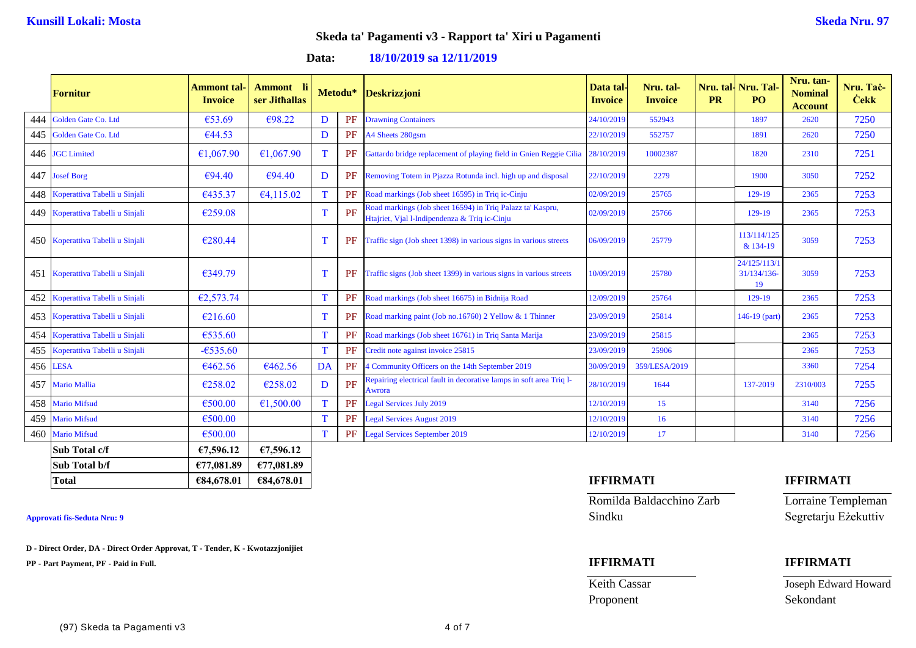**Data: 18/10/2019 sa 12/11/2019**

|     | <b>Fornitur</b>                   | <b>Ammont</b> tal-<br><b>Invoice</b> | <b>Ammont</b><br>ser Jithallas |             | Metodu* | <b>Deskrizzjoni</b>                                                                                         | Data tal<br><b>Invoice</b> | Nru. tal-<br><b>Invoice</b> | <b>PR</b> | <b>Nru. tall Nru. Tal</b><br>PO.  | Nru. tan-<br><b>Nominal</b><br><b>Account</b> | Nru. Tac-<br><b>Čekk</b> |
|-----|-----------------------------------|--------------------------------------|--------------------------------|-------------|---------|-------------------------------------------------------------------------------------------------------------|----------------------------|-----------------------------|-----------|-----------------------------------|-----------------------------------------------|--------------------------|
| 444 | Golden Gate Co. Ltd               | €53.69                               | €98.22                         | D           | PF      | <b>Drawning Containers</b>                                                                                  | 24/10/2019                 | 552943                      |           | 1897                              | 2620                                          | 7250                     |
| 445 | Golden Gate Co. Ltd               | €44.53                               |                                | D           | PF      | A4 Sheets 280gsm                                                                                            | 22/10/2019                 | 552757                      |           | 1891                              | 2620                                          | 7250                     |
|     | 446 JGC Limited                   | €1,067.90                            | €1,067.90                      |             | PF      | Gattardo bridge replacement of playing field in Gnien Reggie Cilia                                          | 28/10/2019                 | 10002387                    |           | 1820                              | 2310                                          | 7251                     |
| 447 | <b>Josef Borg</b>                 | €94.40                               | €94.40                         | D           | PF      | Removing Totem in Pjazza Rotunda incl. high up and disposal                                                 | 22/10/2019                 | 2279                        |           | 1900                              | 3050                                          | 7252                     |
| 448 | Koperattiva Tabelli u Sinjali     | €435.37                              | €4,115.02                      | T           | PF      | Road markings (Job sheet 16595) in Triq ic-Cinju                                                            | 02/09/2019                 | 25765                       |           | 129-19                            | 2365                                          | 7253                     |
|     | 449 Koperattiva Tabelli u Sinjali | €259.08                              |                                |             | PF      | Road markings (Job sheet 16594) in Triq Palazz ta' Kaspru,<br>Htajriet, Vjal l-Indipendenza & Triq ic-Cinju | 02/09/2019                 | 25766                       |           | 129-19                            | 2365                                          | 7253                     |
|     | 450 Koperattiva Tabelli u Sinjali | €280.44                              |                                | т           | PF      | Traffic sign (Job sheet 1398) in various signs in various streets                                           | 06/09/2019                 | 25779                       |           | 113/114/125<br>& 134-19           | 3059                                          | 7253                     |
| 451 | Koperattiva Tabelli u Sinjali     | €349.79                              |                                | Π           | PF      | Traffic signs (Job sheet 1399) in various signs in various streets                                          | 10/09/2019                 | 25780                       |           | 24/125/113/1<br>31/134/136-<br>19 | 3059                                          | 7253                     |
|     | 452 Koperattiva Tabelli u Sinjali | €2,573.74                            |                                |             | PF      | Road markings (Job sheet 16675) in Bidnija Road                                                             | 12/09/2019                 | 25764                       |           | 129-19                            | 2365                                          | 7253                     |
|     | 453 Koperattiva Tabelli u Sinjali | €216.60                              |                                |             | PF      | Road marking paint (Job no.16760) 2 Yellow & 1 Thinner                                                      | 23/09/2019                 | 25814                       |           | $146-19$ (part)                   | 2365                                          | 7253                     |
| 454 | Koperattiva Tabelli u Sinjali     | €535.60                              |                                | T           | PF      | Road markings (Job sheet 16761) in Triq Santa Marija                                                        | 23/09/2019                 | 25815                       |           |                                   | 2365                                          | 7253                     |
| 455 | Koperattiva Tabelli u Sinjali     | $-6535.60$                           |                                |             | PF      | Credit note against invoice 25815                                                                           | 23/09/2019                 | 25906                       |           |                                   | 2365                                          | 7253                     |
| 456 | <b>LESA</b>                       | €462.56                              | €462.56                        | DA          | PF      | 4 Community Officers on the 14th September 2019                                                             | 30/09/2019                 | 359/LESA/2019               |           |                                   | 3360                                          | 7254                     |
| 457 | <b>Mario Mallia</b>               | €258.02                              | €258.02                        | D           | PF      | Repairing electrical fault in decorative lamps in soft area Triq l-<br>Awrora                               | 28/10/2019                 | 1644                        |           | 137-2019                          | 2310/003                                      | 7255                     |
| 458 | <b>Mario Mifsud</b>               | €500.00                              | €1,500.00                      | T           | PF      | <b>Legal Services July 2019</b>                                                                             | 12/10/2019                 | 15 <sup>15</sup>            |           |                                   | 3140                                          | 7256                     |
| 459 | <b>Mario Mifsud</b>               | €500.00                              |                                | Т           | PF      | <b>Legal Services August 2019</b>                                                                           | 12/10/2019                 | 16                          |           |                                   | 3140                                          | 7256                     |
| 460 | <b>Mario Mifsud</b>               | €500.00                              |                                | $\mathbf T$ | PF      | <b>Legal Services September 2019</b>                                                                        | 12/10/2019                 | 17                          |           |                                   | 3140                                          | 7256                     |
|     | Sub Total c/f                     | €7,596.12                            | €7,596.12                      |             |         |                                                                                                             |                            |                             |           |                                   |                                               |                          |
|     | Sub Total b/f                     | €77,081.89                           | €77,081.89                     |             |         |                                                                                                             |                            |                             |           |                                   |                                               |                          |
|     | <b>Total</b>                      | €84,678.01                           | €84,678.01                     |             |         |                                                                                                             | <b>IFFIRMATI</b>           |                             |           |                                   | <b>IFFIRMATI</b>                              |                          |

**D - Direct Order, DA - Direct Order Approvat, T - Tender, K - Kwotazzjonijiet**

**PP - Part Payment, PF - Paid in Full. IFFIRMATI IFFIRMATI**

Romilda Baldacchino Zarb Lorraine Templeman **Approvati fis-Seduta Nru: 9** Sindku Segretarju Eżekuttiv

Proponent Sekondant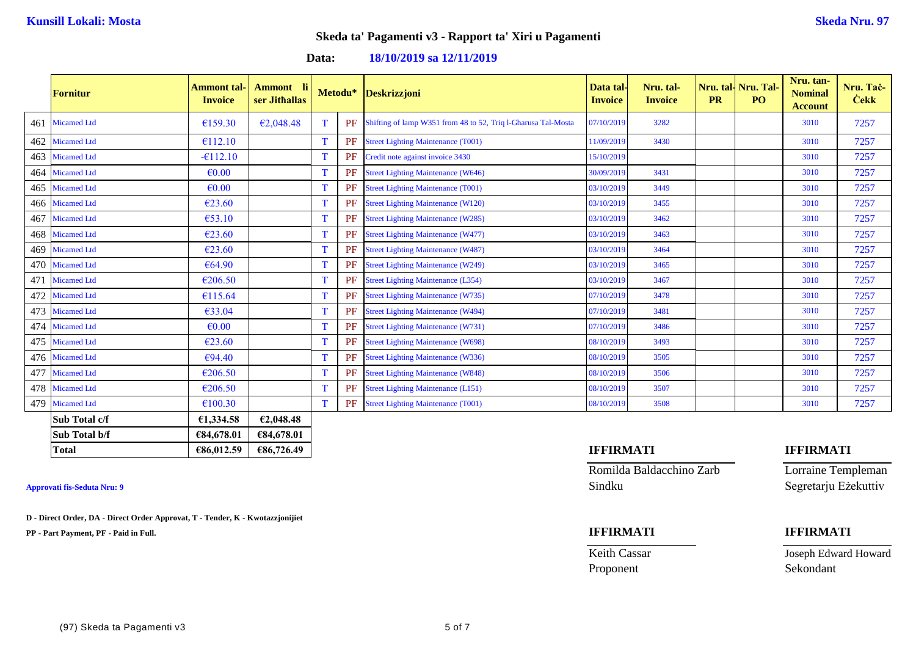**Data: 18/10/2019 sa 12/11/2019**

|     | <b>Fornitur</b>    | Ammont tal<br><b>Invoice</b> | Ammont li<br>ser Jithallas |             | Metodu*   | <b>Deskrizzjoni</b>                                           | Data tal<br><b>Invoice</b> | Nru. tal-<br><b>Invoice</b> | <b>PR</b> | Nru. tal- Nru. Tal-<br>PO <sub>1</sub> | Nru. tan-<br><b>Nominal</b><br><b>Account</b> | Nru. Tac-<br><b>Cekk</b> |
|-----|--------------------|------------------------------|----------------------------|-------------|-----------|---------------------------------------------------------------|----------------------------|-----------------------------|-----------|----------------------------------------|-----------------------------------------------|--------------------------|
| 461 | <b>Micamed Ltd</b> | €159.30                      | €2,048.48                  | T           | PF        | Shifting of lamp W351 from 48 to 52, Triq l-Gharusa Tal-Mosta | 07/10/2019                 | 3282                        |           |                                        | 3010                                          | 7257                     |
| 462 | <b>Micamed Ltd</b> | €112.10                      |                            | T           | PF        | <b>Street Lighting Maintenance (T001)</b>                     | 11/09/2019                 | 3430                        |           |                                        | 3010                                          | 7257                     |
| 463 | <b>Micamed Ltd</b> | $-6112.10$                   |                            | T           | PF        | Credit note against invoice 3430                              | 15/10/2019                 |                             |           |                                        | 3010                                          | 7257                     |
| 464 | <b>Micamed Ltd</b> | $\epsilon$ <sub>0.00</sub>   |                            |             | PF        | <b>Street Lighting Maintenance (W646)</b>                     | 30/09/2019                 | 3431                        |           |                                        | 3010                                          | 7257                     |
| 465 | <b>Micamed Ltd</b> | $\epsilon$ 0.00              |                            |             | <b>PF</b> | <b>Street Lighting Maintenance (T001)</b>                     | 03/10/2019                 | 3449                        |           |                                        | 3010                                          | 7257                     |
| 466 | <b>Micamed Ltd</b> | €23.60                       |                            | T           | PF        | <b>Street Lighting Maintenance (W120)</b>                     | 03/10/2019                 | 3455                        |           |                                        | 3010                                          | 7257                     |
| 467 | <b>Micamed Ltd</b> | €53.10                       |                            | Т           | PF        | <b>Street Lighting Maintenance (W285)</b>                     | 03/10/2019                 | 3462                        |           |                                        | 3010                                          | 7257                     |
| 468 | <b>Micamed Ltd</b> | €23.60                       |                            | т           | PF        | <b>Street Lighting Maintenance (W477)</b>                     | 03/10/2019                 | 3463                        |           |                                        | 3010                                          | 7257                     |
| 469 | <b>Micamed Ltd</b> | €23.60                       |                            |             | <b>PF</b> | <b>Street Lighting Maintenance (W487)</b>                     | 03/10/2019                 | 3464                        |           |                                        | 3010                                          | 7257                     |
| 470 | <b>Micamed Ltd</b> | €64.90                       |                            | $\mathbf T$ | PF        | <b>Street Lighting Maintenance (W249)</b>                     | 03/10/2019                 | 3465                        |           |                                        | 3010                                          | 7257                     |
| 471 | <b>Micamed Ltd</b> | €206.50                      |                            |             | PF        | <b>Street Lighting Maintenance (L354)</b>                     | 03/10/2019                 | 3467                        |           |                                        | 3010                                          | 7257                     |
| 472 | <b>Micamed Ltd</b> | €115.64                      |                            |             | PF        | <b>Street Lighting Maintenance (W735)</b>                     | 07/10/2019                 | 3478                        |           |                                        | 3010                                          | 7257                     |
| 473 | <b>Micamed Ltd</b> | €33.04                       |                            | т           | PF        | <b>Street Lighting Maintenance (W494)</b>                     | 07/10/2019                 | 3481                        |           |                                        | 3010                                          | 7257                     |
| 474 | <b>Micamed Ltd</b> | $\epsilon$ <sub>0.00</sub>   |                            | T           | PF        | <b>Street Lighting Maintenance (W731)</b>                     | 07/10/2019                 | 3486                        |           |                                        | 3010                                          | 7257                     |
| 475 | <b>Micamed Ltd</b> | €23.60                       |                            | T           | <b>PF</b> | <b>Street Lighting Maintenance (W698)</b>                     | 08/10/2019                 | 3493                        |           |                                        | 3010                                          | 7257                     |
|     | 476 Micamed Ltd    | €94.40                       |                            | T           | PF        | <b>Street Lighting Maintenance (W336)</b>                     | 08/10/2019                 | 3505                        |           |                                        | 3010                                          | 7257                     |
| 477 | <b>Micamed Ltd</b> | €206.50                      |                            | т           | PF        | <b>Street Lighting Maintenance (W848)</b>                     | 08/10/2019                 | 3506                        |           |                                        | 3010                                          | 7257                     |
| 478 | <b>Micamed Ltd</b> | €206.50                      |                            | $\mathbf T$ | PF        | <b>Street Lighting Maintenance (L151)</b>                     | 08/10/2019                 | 3507                        |           |                                        | 3010                                          | 7257                     |
|     | 479 Micamed Ltd    | €100.30                      |                            | T           | PF        | <b>Street Lighting Maintenance (T001)</b>                     | 08/10/2019                 | 3508                        |           |                                        | 3010                                          | 7257                     |
|     | Sub Total c/f      | €1,334.58                    | €2,048.48                  |             |           |                                                               |                            |                             |           |                                        |                                               |                          |
|     | Sub Total b/f      | €84,678.01                   | €84,678.01                 |             |           |                                                               |                            |                             |           |                                        |                                               |                          |

**D - Direct Order, DA - Direct Order Approvat, T - Tender, K - Kwotazzjonijiet**

**PP - Part Payment, PF - Paid in Full. IFFIRMATI IFFIRMATI**

## **Total €86,012.59 €86,726.49 IFFIRMATI IFFIRMATI**

Romilda Baldacchino Zarb Lorraine Templeman Approvati fis-Seduta Nru: 9 Sindku Segretarju Eżekuttiv

Proponent Sekondant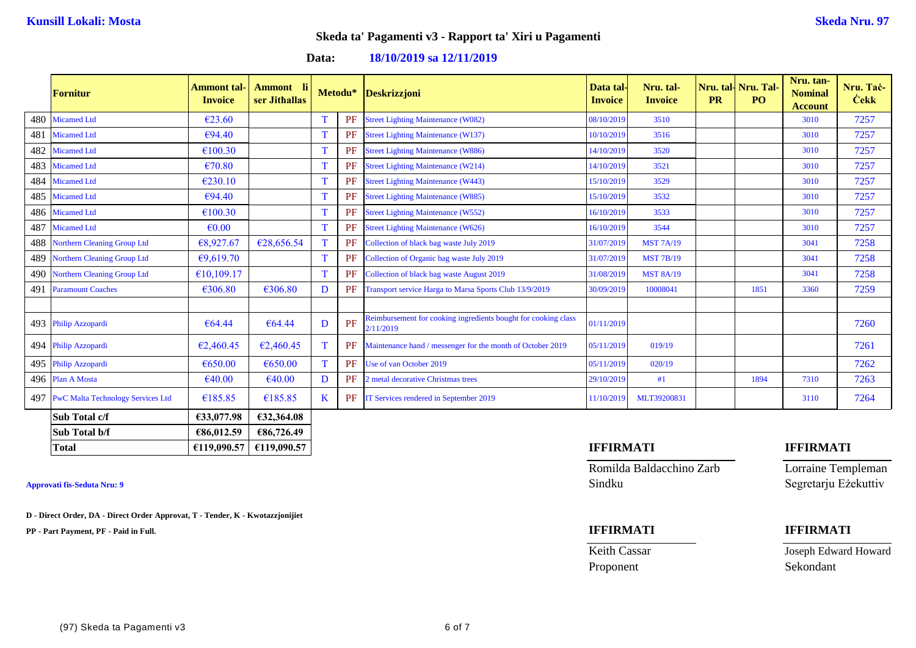## **Data: 18/10/2019 sa 12/11/2019**

|     | <b>Fornitur</b>                          | Ammont tal <sub>`</sub><br><b>Invoice</b> | <b>Ammont</b><br>ser Jithallas |   | Metodu* | <b>Deskrizzjoni</b>                                                         | Data tal-<br><b>Invoice</b> | Nru. tal-<br><b>Invoice</b> | <b>PR</b> | Nru. tal- Nru. Tal-<br>PO <sub>1</sub> | Nru. tan-<br><b>Nominal</b><br><b>Account</b> | Nru. Tac-<br><b>Cekk</b> |
|-----|------------------------------------------|-------------------------------------------|--------------------------------|---|---------|-----------------------------------------------------------------------------|-----------------------------|-----------------------------|-----------|----------------------------------------|-----------------------------------------------|--------------------------|
| 480 | <b>Micamed Ltd</b>                       | €23.60                                    |                                |   | PF      | <b>Street Lighting Maintenance (W082)</b>                                   | 08/10/2019                  | 3510                        |           |                                        | 3010                                          | 7257                     |
| 481 | <b>Micamed Ltd</b>                       | €94.40                                    |                                |   | PF      | <b>Street Lighting Maintenance (W137)</b>                                   | 10/10/2019                  | 3516                        |           |                                        | 3010                                          | 7257                     |
| 482 | <b>Micamed Ltd</b>                       | €100.30                                   |                                |   | PF      | <b>Street Lighting Maintenance (W886)</b>                                   | 14/10/2019                  | 3520                        |           |                                        | 3010                                          | 7257                     |
|     | 483 Micamed Ltd                          | €70.80                                    |                                |   | PF      | <b>Street Lighting Maintenance (W214)</b>                                   | 14/10/2019                  | 3521                        |           |                                        | 3010                                          | 7257                     |
| 484 | <b>Micamed Ltd</b>                       | €230.10                                   |                                |   | PF      | <b>Street Lighting Maintenance (W443)</b>                                   | 15/10/2019                  | 3529                        |           |                                        | 3010                                          | 7257                     |
|     | 485 Micamed Ltd                          | €94.40                                    |                                |   | PF      | <b>Street Lighting Maintenance (W885)</b>                                   | 15/10/2019                  | 3532                        |           |                                        | 3010                                          | 7257                     |
|     | 486 Micamed Ltd                          | €100.30                                   |                                |   | PF      | <b>Street Lighting Maintenance (W552)</b>                                   | 16/10/2019                  | 3533                        |           |                                        | 3010                                          | 7257                     |
| 487 | <b>Micamed Ltd</b>                       | $\epsilon$ <sub>0.00</sub>                |                                |   | PF      | <b>Street Lighting Maintenance (W626)</b>                                   | 16/10/2019                  | 3544                        |           |                                        | 3010                                          | 7257                     |
| 488 | Northern Cleaning Group Ltd              | €8,927.67                                 | €28,656.54                     |   | PF      | Collection of black bag waste July 2019                                     | 31/07/2019                  | <b>MST 7A/19</b>            |           |                                        | 3041                                          | 7258                     |
|     | 489 Northern Cleaning Group Ltd          | €9,619.70                                 |                                |   | PF      | Collection of Organic bag waste July 2019                                   | 31/07/2019                  | <b>MST 7B/19</b>            |           |                                        | 3041                                          | 7258                     |
|     | 490 Northern Cleaning Group Ltd          | €10,109.17                                |                                |   | PF      | Collection of black bag waste August 2019                                   | 31/08/2019                  | <b>MST 8A/19</b>            |           |                                        | 3041                                          | 7258                     |
| 491 | <b>Paramount Coaches</b>                 | €306.80                                   | €306.80                        | D | PF      | Transport service Harga to Marsa Sports Club 13/9/2019                      | 30/09/2019                  | 10008041                    |           | 1851                                   | 3360                                          | 7259                     |
|     |                                          |                                           |                                |   |         |                                                                             |                             |                             |           |                                        |                                               |                          |
|     | 493 Philip Azzopardi                     | €64.44                                    | €64.44                         | D | PF      | Reimbursement for cooking ingredients bought for cooking class<br>2/11/2019 | 01/11/2019                  |                             |           |                                        |                                               | 7260                     |
|     | 494 Philip Azzopardi                     | €2,460.45                                 | €2,460.45                      |   | PF      | Maintenance hand / messenger for the month of October 2019                  | 05/11/2019                  | 019/19                      |           |                                        |                                               | 7261                     |
|     | 495 Philip Azzopardi                     | €650.00                                   | €650.00                        | т | PF      | Use of van October 2019                                                     | 05/11/2019                  | 020/19                      |           |                                        |                                               | 7262                     |
|     | 496 Plan A Mosta                         | €40.00                                    | €40.00                         | D | PF      | 2 metal decorative Christmas trees                                          | 29/10/2019                  | #1                          |           | 1894                                   | 7310                                          | 7263                     |
| 497 | <b>PwC Malta Technology Services Ltd</b> | €185.85                                   | €185.85                        | K | PF      | IT Services rendered in September 2019                                      | 11/10/2019                  | MLT39200831                 |           |                                        | 3110                                          | 7264                     |
|     | Sub Total c/f                            | €33,077.98                                | €32,364.08                     |   |         |                                                                             |                             |                             |           |                                        |                                               |                          |
|     | Sub Total b/f                            | €86,012.59                                | €86,726.49                     |   |         |                                                                             |                             |                             |           |                                        |                                               |                          |

**D - Direct Order, DA - Direct Order Approvat, T - Tender, K - Kwotazzjonijiet**

**PP - Part Payment, PF - Paid in Full. IFFIRMATI IFFIRMATI**

## **Total €119,090.57 €119,090.57 IFFIRMATI IFFIRMATI**

Romilda Baldacchino Zarb Lorraine Templeman **Approvati fis-Seduta Nru: 9** Sindku Segretarju Eżekuttiv

Proponent Sekondant